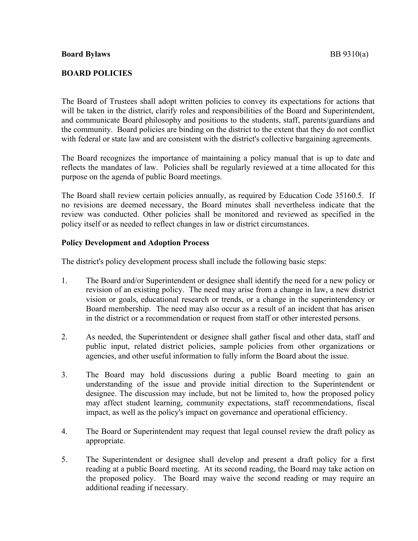# **BOARD POLICIES**

The Board of Trustees shall adopt written policies to convey its expectations for actions that will be taken in the district, clarify roles and responsibilities of the Board and Superintendent, and communicate Board philosophy and positions to the students, staff, parents/guardians and the community. Board policies are binding on the district to the extent that they do not conflict with federal or state law and are consistent with the district's collective bargaining agreements.

The Board recognizes the importance of maintaining a policy manual that is up to date and reflects the mandates of law. Policies shall be regularly reviewed at a time allocated for this purpose on the agenda of public Board meetings.

The Board shall review certain policies annually, as required by Education Code 35160.5. If no revisions are deemed necessary, the Board minutes shall nevertheless indicate that the review was conducted. Other policies shall be monitored and reviewed as specified in the policy itself or as needed to reflect changes in law or district circumstances.

## **Policy Development and Adoption Process**

The district's policy development process shall include the following basic steps:

- 1. The Board and/or Superintendent or designee shall identify the need for a new policy or revision of an existing policy. The need may arise from a change in law, a new district vision or goals, educational research or trends, or a change in the superintendency or Board membership. The need may also occur as a result of an incident that has arisen in the district or a recommendation or request from staff or other interested persons.
- 2. As needed, the Superintendent or designee shall gather fiscal and other data, staff and public input, related district policies, sample policies from other organizations or agencies, and other useful information to fully inform the Board about the issue.
- 3. The Board may hold discussions during a public Board meeting to gain an understanding of the issue and provide initial direction to the Superintendent or designee. The discussion may include, but not be limited to, how the proposed policy may affect student learning, community expectations, staff recommendations, fiscal impact, as well as the policy's impact on governance and operational efficiency.
- 4. The Board or Superintendent may request that legal counsel review the draft policy as appropriate.
- 5. The Superintendent or designee shall develop and present a draft policy for a first reading at a public Board meeting. At its second reading, the Board may take action on the proposed policy. The Board may waive the second reading or may require an additional reading if necessary.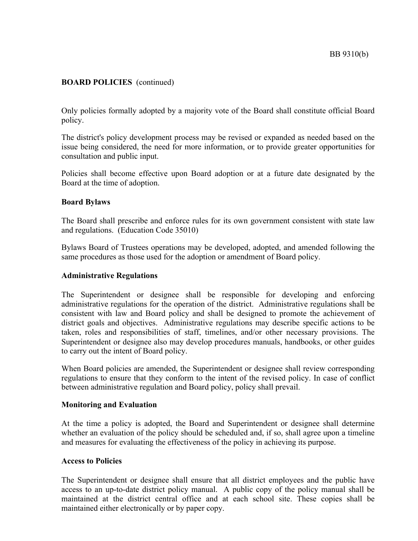# **BOARD POLICIES** (continued)

Only policies formally adopted by a majority vote of the Board shall constitute official Board policy.

The district's policy development process may be revised or expanded as needed based on the issue being considered, the need for more information, or to provide greater opportunities for consultation and public input.

Policies shall become effective upon Board adoption or at a future date designated by the Board at the time of adoption.

### **Board Bylaws**

The Board shall prescribe and enforce rules for its own government consistent with state law and regulations. (Education Code 35010)

Bylaws Board of Trustees operations may be developed, adopted, and amended following the same procedures as those used for the adoption or amendment of Board policy.

#### **Administrative Regulations**

The Superintendent or designee shall be responsible for developing and enforcing administrative regulations for the operation of the district. Administrative regulations shall be consistent with law and Board policy and shall be designed to promote the achievement of district goals and objectives. Administrative regulations may describe specific actions to be taken, roles and responsibilities of staff, timelines, and/or other necessary provisions. The Superintendent or designee also may develop procedures manuals, handbooks, or other guides to carry out the intent of Board policy.

When Board policies are amended, the Superintendent or designee shall review corresponding regulations to ensure that they conform to the intent of the revised policy. In case of conflict between administrative regulation and Board policy, policy shall prevail.

#### **Monitoring and Evaluation**

At the time a policy is adopted, the Board and Superintendent or designee shall determine whether an evaluation of the policy should be scheduled and, if so, shall agree upon a timeline and measures for evaluating the effectiveness of the policy in achieving its purpose.

#### **Access to Policies**

The Superintendent or designee shall ensure that all district employees and the public have access to an up-to-date district policy manual. A public copy of the policy manual shall be maintained at the district central office and at each school site. These copies shall be maintained either electronically or by paper copy.